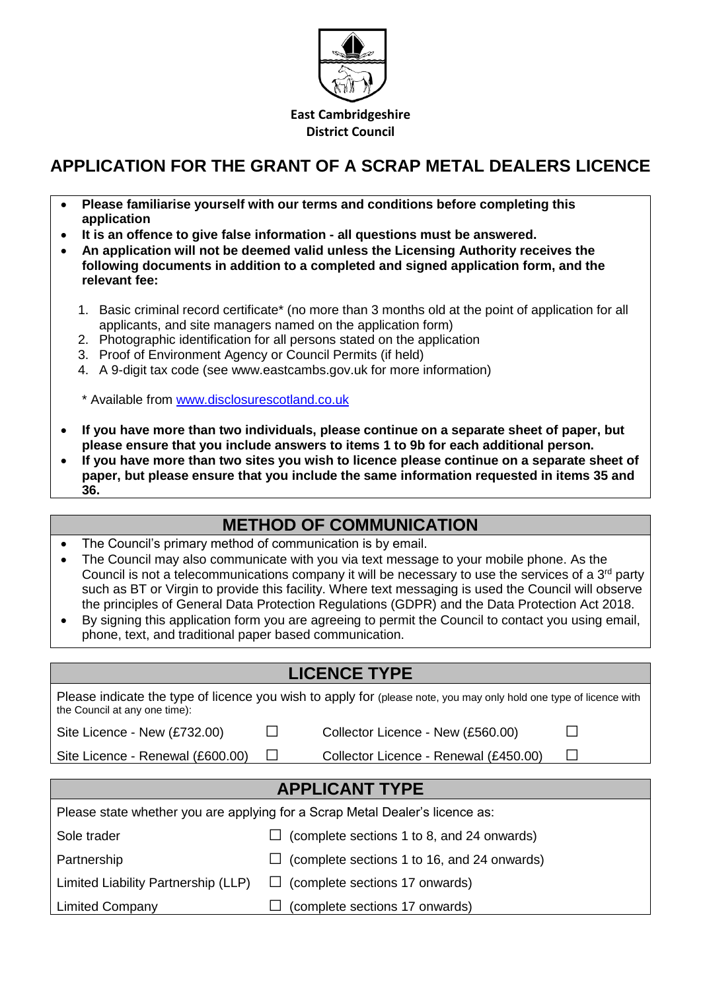

**East Cambridgeshire District Council**

### **APPLICATION FOR THE GRANT OF A SCRAP METAL DEALERS LICENCE**

- **Please familiarise yourself with our terms and conditions before completing this application**
- **It is an offence to give false information - all questions must be answered.**
- **An application will not be deemed valid unless the Licensing Authority receives the following documents in addition to a completed and signed application form, and the relevant fee:**
	- 1. Basic criminal record certificate\* (no more than 3 months old at the point of application for all applicants, and site managers named on the application form)
	- 2. Photographic identification for all persons stated on the application
	- 3. Proof of Environment Agency or Council Permits (if held)
	- 4. A 9-digit tax code (see www.eastcambs.gov.uk for more information)

\* Available from [www.disclosurescotland.co.uk](http://www.disclosurescotland.co.uk/)

- **If you have more than two individuals, please continue on a separate sheet of paper, but please ensure that you include answers to items 1 to 9b for each additional person.**
- **If you have more than two sites you wish to licence please continue on a separate sheet of paper, but please ensure that you include the same information requested in items 35 and 36.**

#### **METHOD OF COMMUNICATION**

- The Council's primary method of communication is by email.
- The Council may also communicate with you via text message to your mobile phone. As the Council is not a telecommunications company it will be necessary to use the services of a 3<sup>rd</sup> party such as BT or Virgin to provide this facility. Where text messaging is used the Council will observe the principles of General Data Protection Regulations (GDPR) and the Data Protection Act 2018.
- By signing this application form you are agreeing to permit the Council to contact you using email, phone, text, and traditional paper based communication.

# **LICENCE TYPE** Please indicate the type of licence you wish to apply for (please note, you may only hold one type of licence with the Council at any one time): Site Licence - New (£732.00)  $\Box$  Collector Licence - New (£560.00)  $\Box$ Site Licence - Renewal (£600.00)  $\Box$  Collector Licence - Renewal (£450.00)  $\Box$ **APPLICANT TYPE** Please state whether you are applying for a Scrap Metal Dealer's licence as: Sole trader  $\Box$  (complete sections 1 to 8, and 24 onwards) Partnership  $\Box$  (complete sections 1 to 16, and 24 onwards) Limited Liability Partnership (LLP)  $\Box$  (complete sections 17 onwards) Limited Company  $\Box$  (complete sections 17 onwards)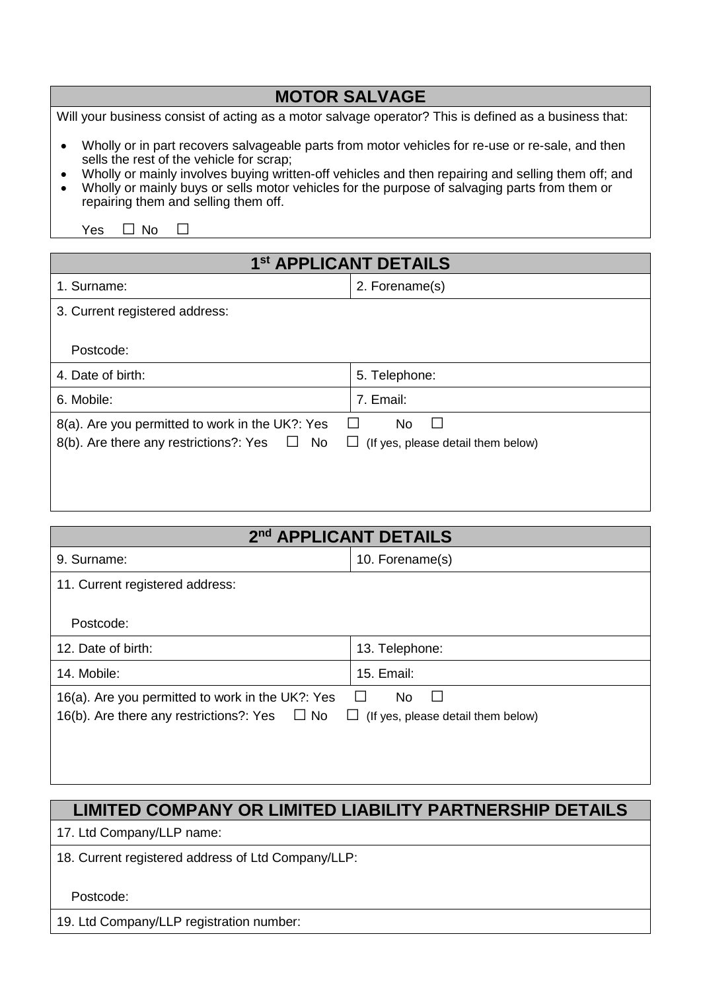| <b>MOTOR SALVAGE</b>                                                                                  |
|-------------------------------------------------------------------------------------------------------|
| Will your business consist of acting as a motor salvage operator? This is defined as a business that: |
| Wholly or in part recovers salvageable parts from motor vehicles for re-use or re-sale, and then      |

- sells the rest of the vehicle for scrap; • Wholly or mainly involves buying written-off vehicles and then repairing and selling them off; and
- Wholly or mainly buys or sells motor vehicles for the purpose of salvaging parts from them or repairing them and selling them off.

Yes □ No □

| 1 <sup>st</sup> APPLICANT DETAILS                      |                                           |  |  |  |
|--------------------------------------------------------|-------------------------------------------|--|--|--|
| 1. Surname:                                            | 2. Forename(s)                            |  |  |  |
| 3. Current registered address:                         |                                           |  |  |  |
| Postcode:                                              |                                           |  |  |  |
| 4. Date of birth:                                      | 5. Telephone:                             |  |  |  |
| 6. Mobile:                                             | 7. Email:                                 |  |  |  |
| 8(a). Are you permitted to work in the UK?: Yes        | No<br>$\mathbf{I}$<br>$\Box$              |  |  |  |
| 8(b). Are there any restrictions?: Yes<br>No<br>$\Box$ | $\Box$ (If yes, please detail them below) |  |  |  |
|                                                        |                                           |  |  |  |
|                                                        |                                           |  |  |  |

| 2nd APPLICANT DETAILS                                                                                                                                                       |                 |  |  |
|-----------------------------------------------------------------------------------------------------------------------------------------------------------------------------|-----------------|--|--|
| 9. Surname:                                                                                                                                                                 | 10. Forename(s) |  |  |
| 11. Current registered address:                                                                                                                                             |                 |  |  |
| Postcode:                                                                                                                                                                   |                 |  |  |
| 12. Date of birth:                                                                                                                                                          | 13. Telephone:  |  |  |
| 14. Mobile:                                                                                                                                                                 | 15. Email:      |  |  |
| 16(a). Are you permitted to work in the UK?: Yes<br>No<br>$\mathbf{L}$<br>16(b). Are there any restrictions?: Yes $\Box$ No<br>(If yes, please detail them below)<br>$\Box$ |                 |  |  |
|                                                                                                                                                                             |                 |  |  |

### **LIMITED COMPANY OR LIMITED LIABILITY PARTNERSHIP DETAILS**

17. Ltd Company/LLP name:

18. Current registered address of Ltd Company/LLP:

Postcode:

19. Ltd Company/LLP registration number: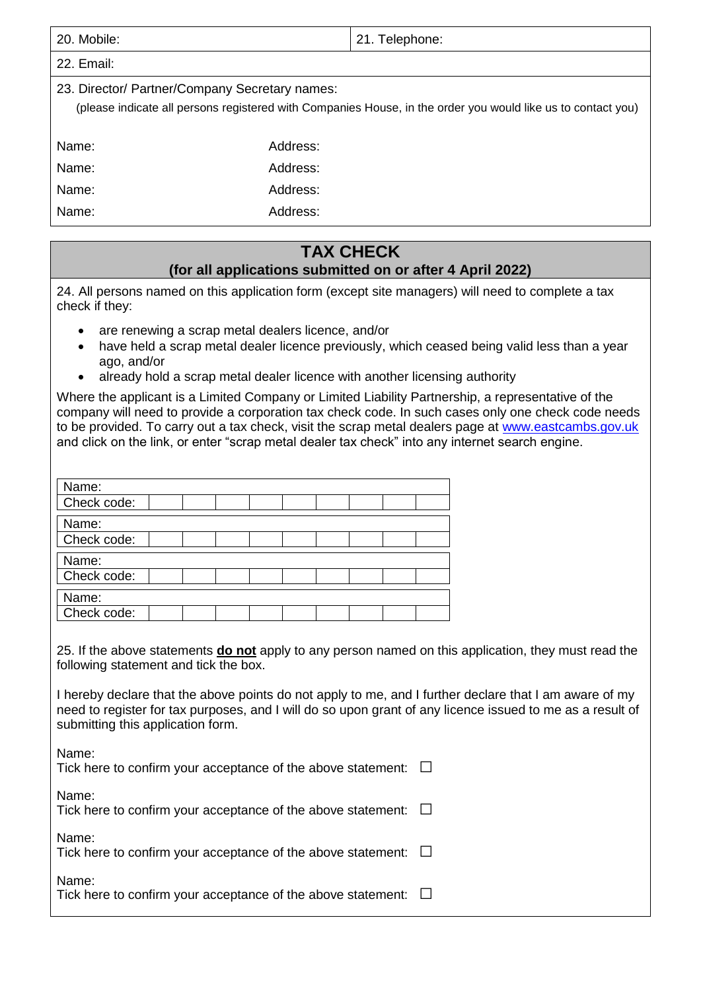| 20. Mobile:                                    |          | 21. Telephone:                                                                                               |
|------------------------------------------------|----------|--------------------------------------------------------------------------------------------------------------|
| 22. Email:                                     |          |                                                                                                              |
| 23. Director/ Partner/Company Secretary names: |          | (please indicate all persons registered with Companies House, in the order you would like us to contact you) |
| Name:                                          | Address: |                                                                                                              |
| Name:                                          | Address: |                                                                                                              |
| Name:                                          | Address: |                                                                                                              |
| Name:                                          | Address: |                                                                                                              |

#### **TAX CHECK**

#### **(for all applications submitted on or after 4 April 2022)**

24. All persons named on this application form (except site managers) will need to complete a tax check if they:

- are renewing a scrap metal dealers licence, and/or
- have held a scrap metal dealer licence previously, which ceased being valid less than a year ago, and/or
- already hold a scrap metal dealer licence with another licensing authority

Where the applicant is a Limited Company or Limited Liability Partnership, a representative of the company will need to provide a corporation tax check code. In such cases only one check code needs to be provided. To carry out a tax check, visit the scrap metal dealers page at [www.eastcambs.gov.uk](http://www.eastcambs.gov.uk/) and click on the link, or enter "scrap metal dealer tax check" into any internet search engine.

| Name:       |  |  |  |  |  |
|-------------|--|--|--|--|--|
| Check code: |  |  |  |  |  |
| Name:       |  |  |  |  |  |
| Check code: |  |  |  |  |  |
| Name:       |  |  |  |  |  |
| Check code: |  |  |  |  |  |
| Name:       |  |  |  |  |  |
| Check code: |  |  |  |  |  |

25. If the above statements **do not** apply to any person named on this application, they must read the following statement and tick the box.

I hereby declare that the above points do not apply to me, and I further declare that I am aware of my need to register for tax purposes, and I will do so upon grant of any licence issued to me as a result of submitting this application form.

| Name:<br>Tick here to confirm your acceptance of the above statement: $\square$ |        |
|---------------------------------------------------------------------------------|--------|
| Name:<br>Tick here to confirm your acceptance of the above statement:           | $\pm$  |
| Name:<br>Tick here to confirm your acceptance of the above statement:           | $\Box$ |
| Name:<br>Tick here to confirm your acceptance of the above statement: $\square$ |        |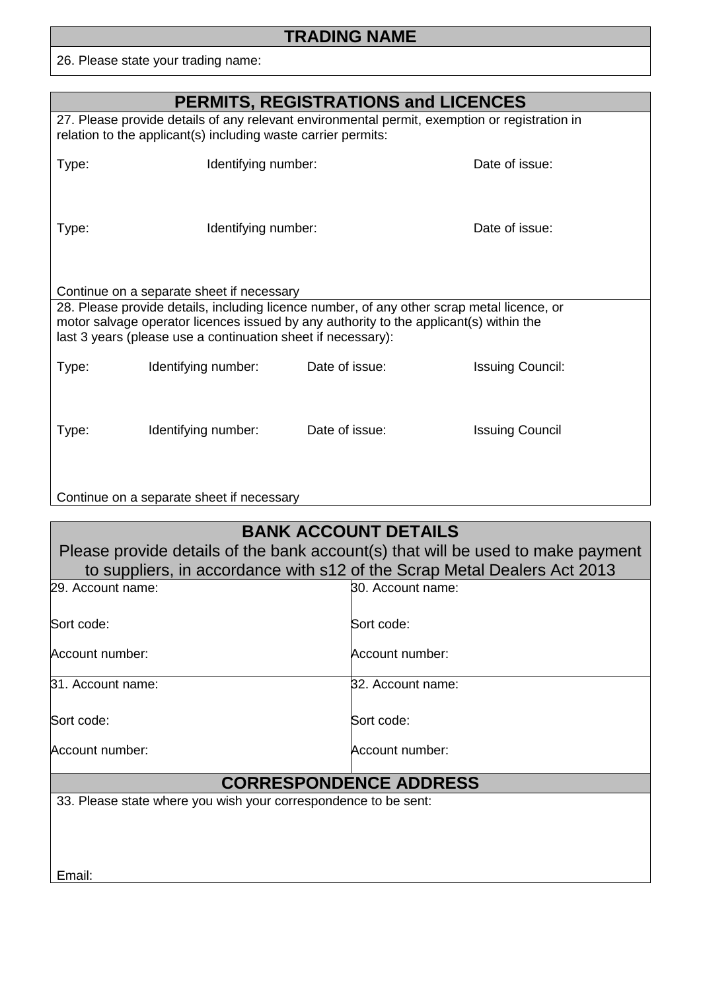## **TRADING NAME**

26. Please state your trading name:

| <b>PERMITS, REGISTRATIONS and LICENCES</b>                                                                                                                                                                                           |                                                                                                                                                                                                                                                      |                     |                   |                         |  |
|--------------------------------------------------------------------------------------------------------------------------------------------------------------------------------------------------------------------------------------|------------------------------------------------------------------------------------------------------------------------------------------------------------------------------------------------------------------------------------------------------|---------------------|-------------------|-------------------------|--|
| 27. Please provide details of any relevant environmental permit, exemption or registration in<br>relation to the applicant(s) including waste carrier permits:                                                                       |                                                                                                                                                                                                                                                      |                     |                   |                         |  |
| Type:                                                                                                                                                                                                                                | Identifying number:                                                                                                                                                                                                                                  |                     |                   | Date of issue:          |  |
| Type:                                                                                                                                                                                                                                |                                                                                                                                                                                                                                                      | Identifying number: |                   | Date of issue:          |  |
|                                                                                                                                                                                                                                      | Continue on a separate sheet if necessary                                                                                                                                                                                                            |                     |                   |                         |  |
|                                                                                                                                                                                                                                      | 28. Please provide details, including licence number, of any other scrap metal licence, or<br>motor salvage operator licences issued by any authority to the applicant(s) within the<br>last 3 years (please use a continuation sheet if necessary): |                     |                   |                         |  |
| Type:                                                                                                                                                                                                                                | Identifying number:                                                                                                                                                                                                                                  | Date of issue:      |                   | <b>Issuing Council:</b> |  |
| Type:                                                                                                                                                                                                                                | Identifying number:                                                                                                                                                                                                                                  | Date of issue:      |                   | <b>Issuing Council</b>  |  |
|                                                                                                                                                                                                                                      | Continue on a separate sheet if necessary                                                                                                                                                                                                            |                     |                   |                         |  |
| <b>BANK ACCOUNT DETAILS</b><br>Please provide details of the bank account(s) that will be used to make payment<br>to suppliers, in accordance with s12 of the Scrap Metal Dealers Act 2013<br>29. Account name:<br>30. Account name: |                                                                                                                                                                                                                                                      |                     |                   |                         |  |
|                                                                                                                                                                                                                                      |                                                                                                                                                                                                                                                      |                     |                   |                         |  |
| Sort code:                                                                                                                                                                                                                           |                                                                                                                                                                                                                                                      |                     | Sort code:        |                         |  |
| Account number:                                                                                                                                                                                                                      |                                                                                                                                                                                                                                                      |                     | Account number:   |                         |  |
| 31. Account name:                                                                                                                                                                                                                    |                                                                                                                                                                                                                                                      |                     | 32. Account name: |                         |  |
| Sort code:                                                                                                                                                                                                                           |                                                                                                                                                                                                                                                      |                     | Sort code:        |                         |  |
| Account number:                                                                                                                                                                                                                      |                                                                                                                                                                                                                                                      |                     | Account number:   |                         |  |

# **CORRESPONDENCE ADDRESS**

33. Please state where you wish your correspondence to be sent:

Email: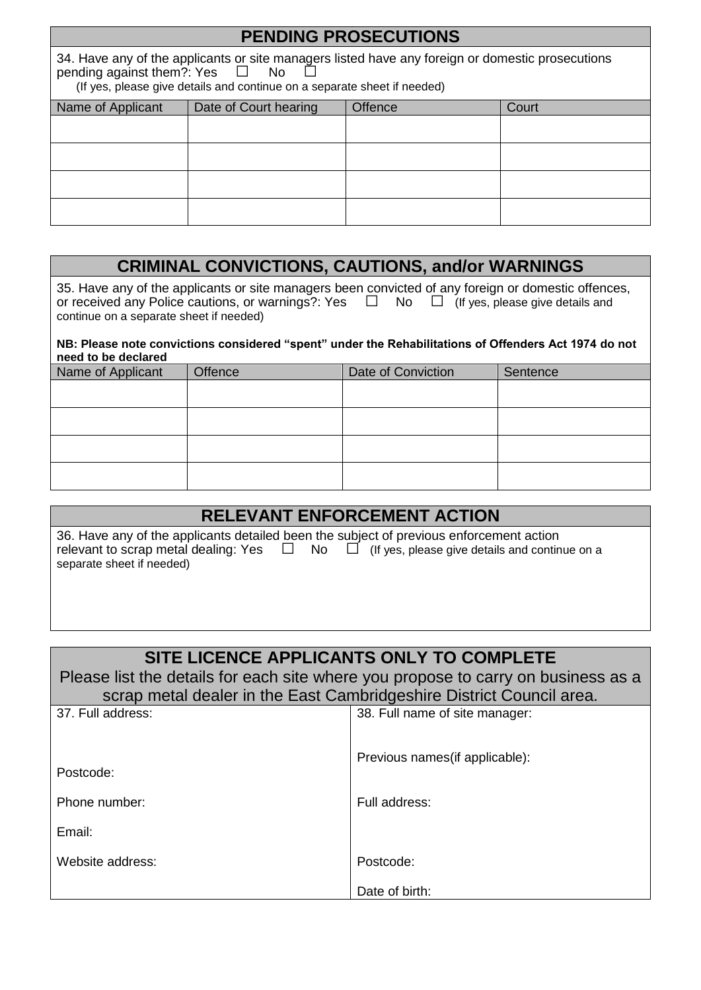| <b>PENDING PROSECUTIONS</b>                                                                                                                                                                                             |                       |         |       |  |
|-------------------------------------------------------------------------------------------------------------------------------------------------------------------------------------------------------------------------|-----------------------|---------|-------|--|
| 34. Have any of the applicants or site managers listed have any foreign or domestic prosecutions<br>pending against them?: Yes $\square$ No<br>(If yes, please give details and continue on a separate sheet if needed) |                       |         |       |  |
| Name of Applicant                                                                                                                                                                                                       | Date of Court hearing | Offence | Court |  |
|                                                                                                                                                                                                                         |                       |         |       |  |
|                                                                                                                                                                                                                         |                       |         |       |  |
|                                                                                                                                                                                                                         |                       |         |       |  |
|                                                                                                                                                                                                                         |                       |         |       |  |

#### **CRIMINAL CONVICTIONS, CAUTIONS, and/or WARNINGS**

35. Have any of the applicants or site managers been convicted of any foreign or domestic offences, or received any Police cautions, or warnings?: Yes  $\Box$  No  $\Box$  (If yes, please give details and continue on a separate sheet if needed)

#### **NB: Please note convictions considered "spent" under the Rehabilitations of Offenders Act 1974 do not need to be declared**

| Name of Applicant | Offence | Date of Conviction | Sentence |
|-------------------|---------|--------------------|----------|
|                   |         |                    |          |
|                   |         |                    |          |
|                   |         |                    |          |
|                   |         |                    |          |

| <b>RELEVANT ENFORCEMENT ACTION</b>                                                                                                                                                                                           |
|------------------------------------------------------------------------------------------------------------------------------------------------------------------------------------------------------------------------------|
| 36. Have any of the applicants detailed been the subject of previous enforcement action<br>relevant to scrap metal dealing: Yes $\Box$ No $\Box$ (If yes, please give details and continue on a<br>separate sheet if needed) |

#### **SITE LICENCE APPLICANTS ONLY TO COMPLETE**

Please list the details for each site where you propose to carry on business as a scrap metal dealer in the East Cambridgeshire District Council area.

| 37. Full address: | 38. Full name of site manager:  |
|-------------------|---------------------------------|
| Postcode:         | Previous names (if applicable): |
| Phone number:     | Full address:                   |
| Email:            |                                 |
| Website address:  | Postcode:                       |
|                   | Date of birth:                  |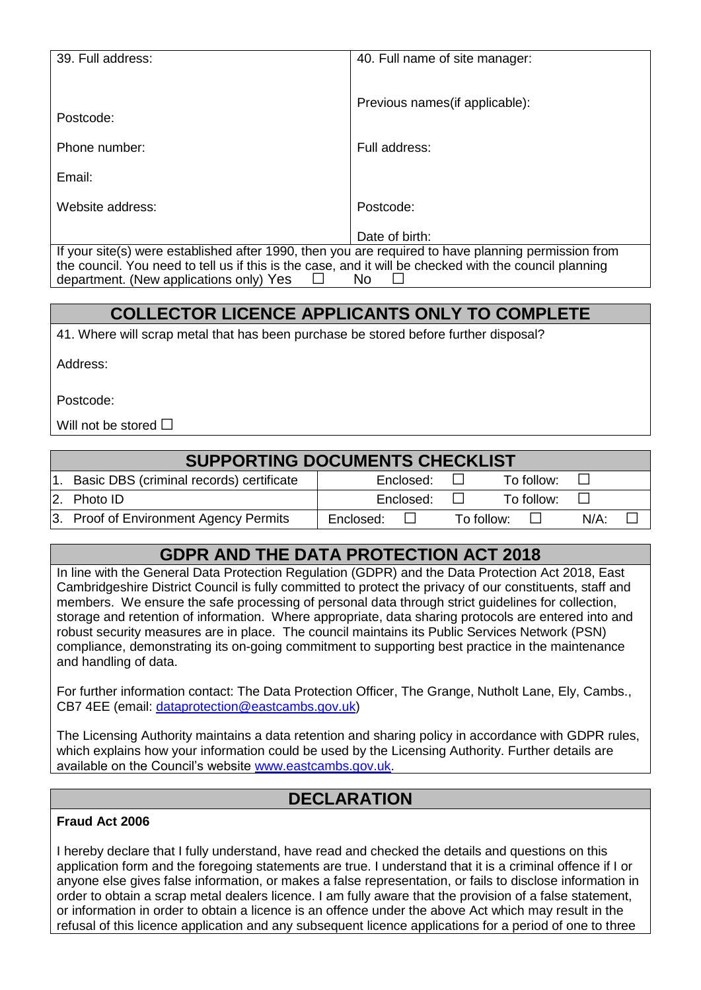| 39. Full address:                                                                                                                                       | 40. Full name of site manager:  |  |
|---------------------------------------------------------------------------------------------------------------------------------------------------------|---------------------------------|--|
| Postcode:                                                                                                                                               | Previous names (if applicable): |  |
| Phone number:                                                                                                                                           | Full address:                   |  |
| Email:                                                                                                                                                  |                                 |  |
| Website address:                                                                                                                                        | Postcode:                       |  |
|                                                                                                                                                         | Date of birth:                  |  |
| If your site(s) were established after 1990, then you are required to have planning permission from                                                     |                                 |  |
| the council. You need to tell us if this is the case, and it will be checked with the council planning<br>department. (New applications only) Yes<br>No |                                 |  |

### **COLLECTOR LICENCE APPLICANTS ONLY TO COMPLETE**

41. Where will scrap metal that has been purchase be stored before further disposal?

Address:

Postcode:

Will not be stored □

#### **SUPPORTING DOCUMENTS CHECKLIST** 1. Basic DBS (criminal records) certificate  $\begin{bmatrix} \vert & \vert & \vert \end{bmatrix}$  Enclosed:  $\Box$  To follow:  $\Box$ 2. Photo ID **Enclosed:** □ To follow: □ 3. Proof of Environment Agency Permits  $\parallel$  Enclosed:  $\Box$  To follow:  $\Box$  N/A:

#### **GDPR AND THE DATA PROTECTION ACT 2018**

In line with the General Data Protection Regulation (GDPR) and the Data Protection Act 2018, East Cambridgeshire District Council is fully committed to protect the privacy of our constituents, staff and members. We ensure the safe processing of personal data through strict guidelines for collection, storage and retention of information. Where appropriate, data sharing protocols are entered into and robust security measures are in place. The council maintains its Public Services Network (PSN) compliance, demonstrating its on-going commitment to supporting best practice in the maintenance and handling of data.

For further information contact: The Data Protection Officer, The Grange, Nutholt Lane, Ely, Cambs., CB7 4EE (email: [dataprotection@eastcambs.gov.uk\)](mailto:dataprotection@eastcambs.gov.uk)

The Licensing Authority maintains a data retention and sharing policy in accordance with GDPR rules, which explains how your information could be used by the Licensing Authority. Further details are available on the Council's website [www.eastcambs.gov.uk.](http://www.eastcambs.gov.uk/)

#### **DECLARATION**

#### **Fraud Act 2006**

I hereby declare that I fully understand, have read and checked the details and questions on this application form and the foregoing statements are true. I understand that it is a criminal offence if I or anyone else gives false information, or makes a false representation, or fails to disclose information in order to obtain a scrap metal dealers licence. I am fully aware that the provision of a false statement, or information in order to obtain a licence is an offence under the above Act which may result in the refusal of this licence application and any subsequent licence applications for a period of one to three